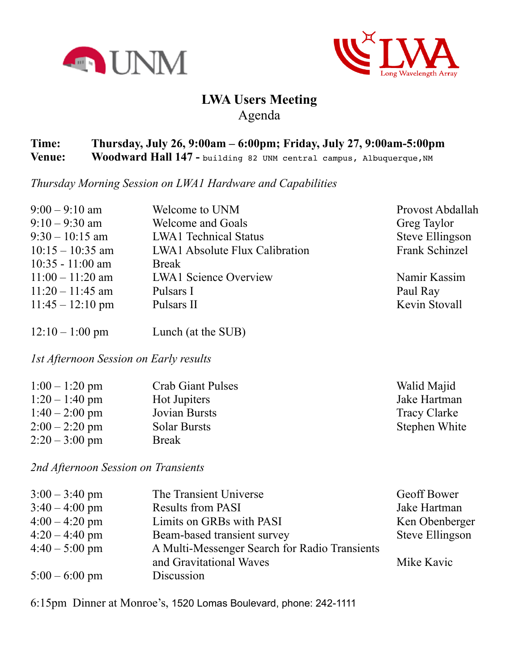



## **LWA Users Meeting** Agenda

## **Time: Thursday, July 26, 9:00am – 6:00pm; Friday, July 27, 9:00am-5:00pm Venue:** Woodward Hall 147 - building 82 UNM central campus, Albuquerque, NM

*Thursday Morning Session on LWA1 Hardware and Capabilities*

| $9:00 - 9:10$ am           | Welcome to UNM                        | Provost Abdallah       |
|----------------------------|---------------------------------------|------------------------|
| $9:10 - 9:30$ am           | <b>Welcome and Goals</b>              | Greg Taylor            |
| $9:30 - 10:15$ am          | <b>LWA1</b> Technical Status          | <b>Steve Ellingson</b> |
| $10:15 - 10:35$ am         | <b>LWA1</b> Absolute Flux Calibration | Frank Schinzel         |
| $10:35 - 11:00$ am         | <b>Break</b>                          |                        |
| $11:00 - 11:20$ am         | <b>LWA1</b> Science Overview          | Namir Kassim           |
| $11:20 - 11:45$ am         | Pulsars I                             | Paul Ray               |
| $11:45 - 12:10 \text{ pm}$ | Pulsars II                            | Kevin Stovall          |
|                            |                                       |                        |
|                            |                                       |                        |

12:10 – 1:00 pm Lunch (at the SUB)

*1st Afternoon Session on Early results*

| $1:00 - 1:20$ pm       | <b>Crab Giant Pulses</b> | Walid Majid   |
|------------------------|--------------------------|---------------|
| $1:20 - 1:40$ pm       | Hot Jupiters             | Jake Hartman  |
| $1:40-2:00 \text{ pm}$ | <b>Jovian Bursts</b>     | Tracy Clarke  |
| $2:00 - 2:20$ pm       | <b>Solar Bursts</b>      | Stephen White |
| $2:20 - 3:00$ pm       | <b>Break</b>             |               |

*2nd Afternoon Session on Transients*

| $3:00 - 3:40$ pm | The Transient Universe                        | Geoff Bower     |
|------------------|-----------------------------------------------|-----------------|
| $3:40 - 4:00$ pm | <b>Results from PASI</b>                      | Jake Hartman    |
| $4:00 - 4:20$ pm | Limits on GRBs with PASI                      | Ken Obenberger  |
| $4:20 - 4:40$ pm | Beam-based transient survey                   | Steve Ellingson |
| $4:40 - 5:00$ pm | A Multi-Messenger Search for Radio Transients |                 |
|                  | and Gravitational Waves                       | Mike Kavic      |
| $5:00 - 6:00$ pm | Discussion                                    |                 |

6:15pm Dinner at Monroe's, 1520 Lomas Boulevard, phone: 242-1111